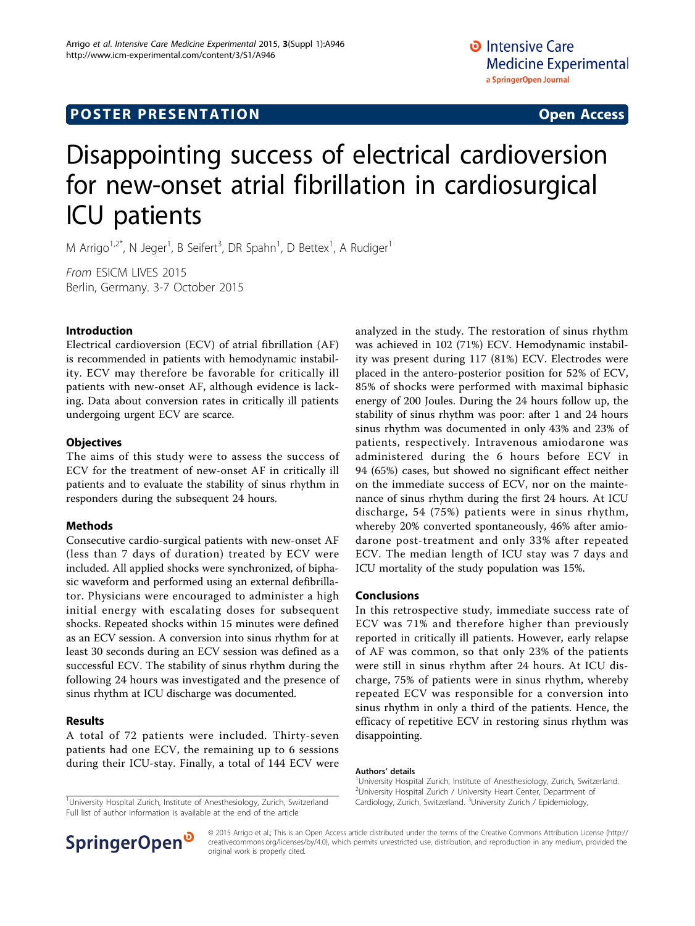# **POSTER PRESENTATION CONSUMING ACCESS**

# Disappointing success of electrical cardioversion for new-onset atrial fibrillation in cardiosurgical ICU patients

M Arrigo<sup>1,2\*</sup>, N Jeger<sup>1</sup>, B Seifert<sup>3</sup>, DR Spahn<sup>1</sup>, D Bettex<sup>1</sup>, A Rudiger<sup>1</sup>

From ESICM LIVES 2015 Berlin, Germany. 3-7 October 2015

### Introduction

Electrical cardioversion (ECV) of atrial fibrillation (AF) is recommended in patients with hemodynamic instability. ECV may therefore be favorable for critically ill patients with new-onset AF, although evidence is lacking. Data about conversion rates in critically ill patients undergoing urgent ECV are scarce.

#### **Objectives**

The aims of this study were to assess the success of ECV for the treatment of new-onset AF in critically ill patients and to evaluate the stability of sinus rhythm in responders during the subsequent 24 hours.

### Methods

Consecutive cardio-surgical patients with new-onset AF (less than 7 days of duration) treated by ECV were included. All applied shocks were synchronized, of biphasic waveform and performed using an external defibrillator. Physicians were encouraged to administer a high initial energy with escalating doses for subsequent shocks. Repeated shocks within 15 minutes were defined as an ECV session. A conversion into sinus rhythm for at least 30 seconds during an ECV session was defined as a successful ECV. The stability of sinus rhythm during the following 24 hours was investigated and the presence of sinus rhythm at ICU discharge was documented.

### Results

A total of 72 patients were included. Thirty-seven patients had one ECV, the remaining up to 6 sessions during their ICU-stay. Finally, a total of 144 ECV were

Full list of author information is available at the end of the article



#### Conclusions

In this retrospective study, immediate success rate of ECV was 71% and therefore higher than previously reported in critically ill patients. However, early relapse of AF was common, so that only 23% of the patients were still in sinus rhythm after 24 hours. At ICU discharge, 75% of patients were in sinus rhythm, whereby repeated ECV was responsible for a conversion into sinus rhythm in only a third of the patients. Hence, the efficacy of repetitive ECV in restoring sinus rhythm was disappointing.

#### Authors' details <sup>1</sup>

<sup>1</sup>University Hospital Zurich, Institute of Anesthesiology, Zurich, Switzerland. 2 University Hospital Zurich / University Heart Center, Department of Cardiology, Zurich, Switzerland. <sup>3</sup>University Zurich / Epidemiology, <sup>1</sup>University Hospital Zurich, Institute of Anesthesiology, Zurich, Switzerland Cardiology, Zurich, Switzerland. <sup>3</sup>University Zurich / Epidemiology



© 2015 Arrigo et al.; This is an Open Access article distributed under the terms of the Creative Commons Attribution License [\(http://](http://creativecommons.org/licenses/by/4.0) [creativecommons.org/licenses/by/4.0](http://creativecommons.org/licenses/by/4.0)), which permits unrestricted use, distribution, and reproduction in any medium, provided the original work is properly cited.